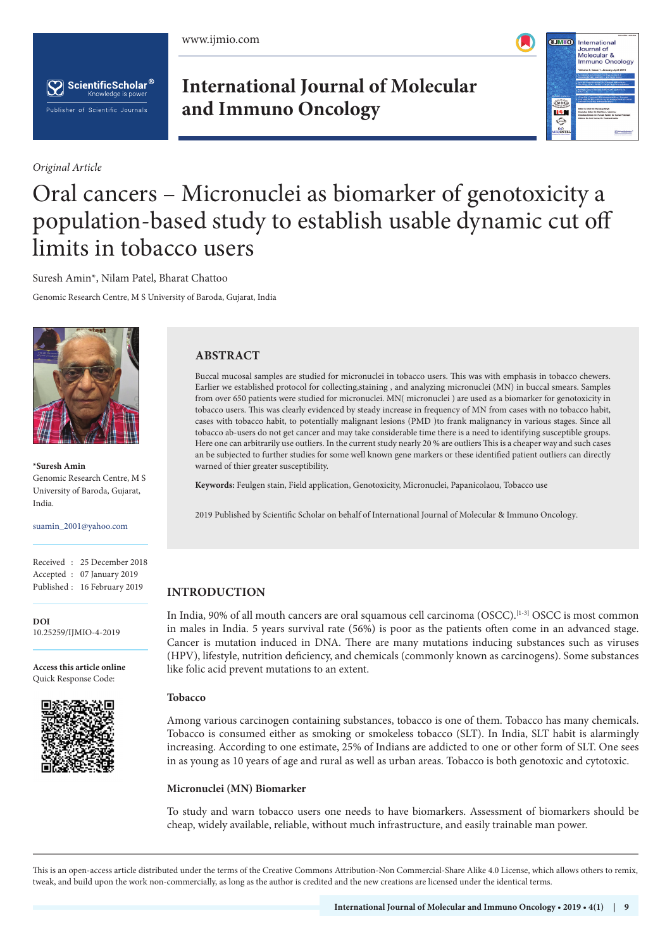#### www.ijmio.com





# **International Journal of Molecular**



#### *Original Article*

### Oral cancers – Micronuclei as biomarker of genotoxicity a population-based study to establish usable dynamic cut off limits in tobacco users

Suresh Amin\*, Nilam Patel, Bharat Chattoo

Genomic Research Centre, M S University of Baroda, Gujarat, India



**\*Suresh Amin** Genomic Research Centre, M S University of Baroda, Gujarat, India.

#### suamin\_2001@yahoo.com

Received : 25 December 2018 Accepted : 07 January 2019 Published : 16 February 2019

**DOI** 10.25259/IJMIO-4-2019

**Access this article online** Quick Response Code:



## **and Immuno Oncology**

**ABSTRACT**

Buccal mucosal samples are studied for micronuclei in tobacco users. This was with emphasis in tobacco chewers. Earlier we established protocol for collecting,staining , and analyzing micronuclei (MN) in buccal smears. Samples from over 650 patients were studied for micronuclei. MN( micronuclei ) are used as a biomarker for genotoxicity in tobacco users. This was clearly evidenced by steady increase in frequency of MN from cases with no tobacco habit, cases with tobacco habit, to potentially malignant lesions (PMD )to frank malignancy in various stages. Since all tobacco ab-users do not get cancer and may take considerable time there is a need to identifying susceptible groups. Here one can arbitrarily use outliers. In the current study nearly 20 % are outliers This is a cheaper way and such cases an be subjected to further studies for some well known gene markers or these identified patient outliers can directly warned of thier greater susceptibility.

**Keywords:** Feulgen stain, Field application, Genotoxicity, Micronuclei, Papanicolaou, Tobacco use

2019 Published by Scientific Scholar on behalf of International Journal of Molecular & Immuno Oncology.

#### **INTRODUCTION**

In India, 90% of all mouth cancers are oral squamous cell carcinoma (OSCC).<sup>[1-3]</sup> OSCC is most common in males in India. 5 years survival rate (56%) is poor as the patients often come in an advanced stage. Cancer is mutation induced in DNA. There are many mutations inducing substances such as viruses (HPV), lifestyle, nutrition deficiency, and chemicals (commonly known as carcinogens). Some substances like folic acid prevent mutations to an extent.

#### **Tobacco**

Among various carcinogen containing substances, tobacco is one of them. Tobacco has many chemicals. Tobacco is consumed either as smoking or smokeless tobacco (SLT). In India, SLT habit is alarmingly increasing. According to one estimate, 25% of Indians are addicted to one or other form of SLT. One sees in as young as 10 years of age and rural as well as urban areas. Tobacco is both genotoxic and cytotoxic.

#### **Micronuclei (MN) Biomarker**

To study and warn tobacco users one needs to have biomarkers. Assessment of biomarkers should be cheap, widely available, reliable, without much infrastructure, and easily trainable man power.

This is an open-access article distributed under the terms of the Creative Commons Attribution-Non Commercial-Share Alike 4.0 License, which allows others to remix, tweak, and build upon the work non-commercially, as long as the author is credited and the new creations are licensed under the identical terms.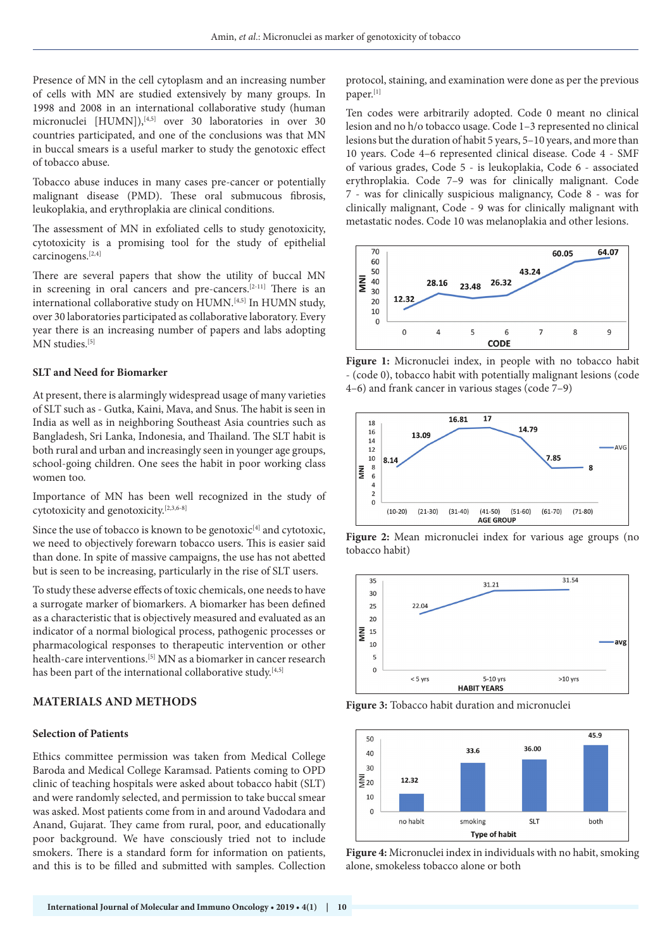Presence of MN in the cell cytoplasm and an increasing number of cells with MN are studied extensively by many groups. In 1998 and 2008 in an international collaborative study (human micronuclei [HUMN]),<sup>[4,5]</sup> over 30 laboratories in over 30 countries participated, and one of the conclusions was that MN in buccal smears is a useful marker to study the genotoxic effect of tobacco abuse.

Tobacco abuse induces in many cases pre-cancer or potentially malignant disease (PMD). These oral submucous fibrosis, leukoplakia, and erythroplakia are clinical conditions.

The assessment of MN in exfoliated cells to study genotoxicity, cytotoxicity is a promising tool for the study of epithelial carcinogens.[2,4]

There are several papers that show the utility of buccal MN in screening in oral cancers and pre-cancers.<sup>[2-11]</sup> There is an international collaborative study on HUMN.[4,5] In HUMN study, over 30 laboratories participated as collaborative laboratory. Every year there is an increasing number of papers and labs adopting MN studies.<sup>[5]</sup>

#### **SLT and Need for Biomarker**

At present, there is alarmingly widespread usage of many varieties of SLT such as - Gutka, Kaini, Mava, and Snus. The habit is seen in India as well as in neighboring Southeast Asia countries such as Bangladesh, Sri Lanka, Indonesia, and Thailand. The SLT habit is both rural and urban and increasingly seen in younger age groups, school-going children. One sees the habit in poor working class women too.

Importance of MN has been well recognized in the study of cytotoxicity and genotoxicity.[2,3,6-8]

Since the use of tobacco is known to be genotoxic<sup>[4]</sup> and cytotoxic, we need to objectively forewarn tobacco users. This is easier said than done. In spite of massive campaigns, the use has not abetted but is seen to be increasing, particularly in the rise of SLT users.

To study these adverse effects of toxic chemicals, one needs to have a surrogate marker of biomarkers. A biomarker has been defined as a characteristic that is objectively measured and evaluated as an indicator of a normal biological process, pathogenic processes or pharmacological responses to therapeutic intervention or other health-care interventions.<sup>[5]</sup> MN as a biomarker in cancer research has been part of the international collaborative study.<sup>[4,5]</sup>

#### **MATERIALS AND METHODS**

#### **Selection of Patients**

Ethics committee permission was taken from Medical College Baroda and Medical College Karamsad. Patients coming to OPD clinic of teaching hospitals were asked about tobacco habit (SLT) and were randomly selected, and permission to take buccal smear was asked. Most patients come from in and around Vadodara and Anand, Gujarat. They came from rural, poor, and educationally poor background. We have consciously tried not to include smokers. There is a standard form for information on patients, and this is to be filled and submitted with samples. Collection

protocol, staining, and examination were done as per the previous paper.[1]

Ten codes were arbitrarily adopted. Code 0 meant no clinical lesion and no h/o tobacco usage. Code 1–3 represented no clinical lesions but the duration of habit 5 years, 5–10 years, and more than 10 years. Code 4–6 represented clinical disease. Code 4 - SMF of various grades, Code 5 - is leukoplakia, Code 6 - associated erythroplakia. Code 7–9 was for clinically malignant. Code 7 - was for clinically suspicious malignancy, Code 8 - was for clinically malignant, Code - 9 was for clinically malignant with metastatic nodes. Code 10 was melanoplakia and other lesions.



Figure 1: Micronuclei index, in people with no tobacco habit - (code 0), tobacco habit with potentially malignant lesions (code 4–6) and frank cancer in various stages (code 7–9)



Figure 2: Mean micronuclei index for various age groups (no tobacco habit)



**Figure 3:** Tobacco habit duration and micronuclei



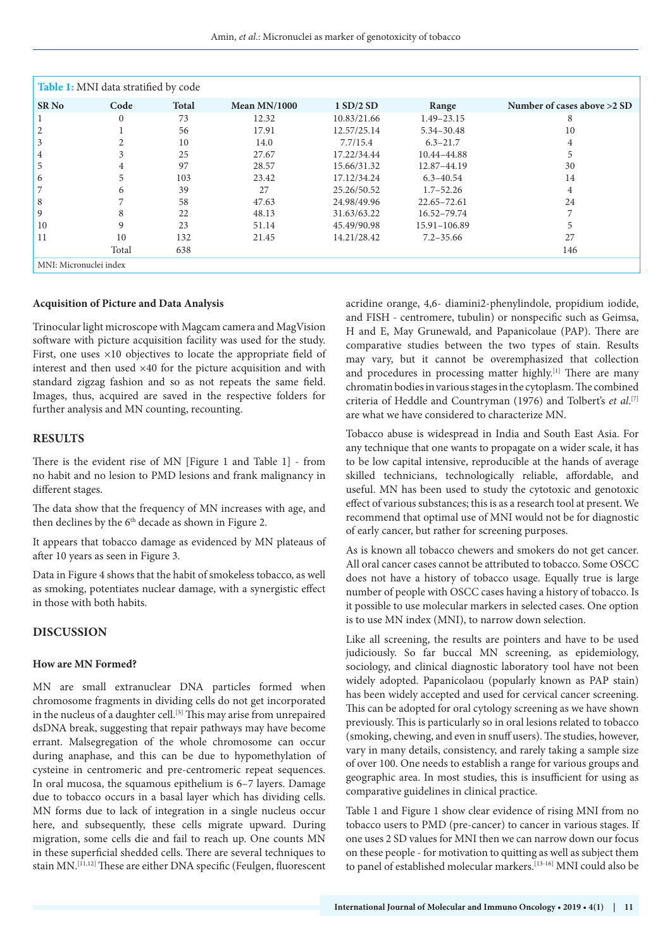Amin, *et al*.: Micronuclei as marker of genotoxicity of tobacco

| <b>Table 1:</b> MNI data stratified by code |          |              |                |             |                 |                               |
|---------------------------------------------|----------|--------------|----------------|-------------|-----------------|-------------------------------|
| <b>SR No</b>                                | Code     | <b>Total</b> | Mean $MN/1000$ | $1$ SD/2 SD | Range           | Number of cases above $>2$ SD |
|                                             | $\Omega$ | 73           | 12.32          | 10.83/21.66 | $1.49 - 23.15$  | 8                             |
|                                             |          | 56           | 17.91          | 12.57/25.14 | 5.34-30.48      | 10                            |
| 3                                           |          | 10           | 14.0           | 7.7/15.4    | $6.3 - 21.7$    | 4                             |
| 4                                           |          | 25           | 27.67          | 17.22/34.44 | 10.44-44.88     |                               |
| 5                                           | 4        | 97           | 28.57          | 15.66/31.32 | 12.87-44.19     | 30                            |
| 6                                           |          | 103          | 23.42          | 17.12/34.24 | $6.3 - 40.54$   | 14                            |
|                                             | 6        | 39           | 27             | 25.26/50.52 | $1.7 - 52.26$   | 4                             |
| 8                                           |          | 58           | 47.63          | 24.98/49.96 | $22.65 - 72.61$ | 24                            |
| 9                                           | 8        | 22           | 48.13          | 31.63/63.22 | 16.52–79.74     |                               |
| 10                                          | 9        | 23           | 51.14          | 45.49/90.98 | 15.91-106.89    |                               |
| 11                                          | 10       | 132          | 21.45          | 14.21/28.42 | $7.2 - 35.66$   | 27                            |
|                                             | Total    | 638          |                |             |                 | 146                           |
| MNI: Micronuclei index                      |          |              |                |             |                 |                               |

#### **Acquisition of Picture and Data Analysis**

Trinocular light microscope with Magcam camera and MagVision software with picture acquisition facility was used for the study. First, one uses ×10 objectives to locate the appropriate field of interest and then used ×40 for the picture acquisition and with standard zigzag fashion and so as not repeats the same field. Images, thus, acquired are saved in the respective folders for further analysis and MN counting, recounting.

#### **RESULTS**

There is the evident rise of MN [Figure 1 and Table 1] - from no habit and no lesion to PMD lesions and frank malignancy in different stages.

The data show that the frequency of MN increases with age, and then declines by the 6<sup>th</sup> decade as shown in Figure 2.

It appears that tobacco damage as evidenced by MN plateaus of after 10 years as seen in Figure 3.

Data in Figure 4 shows that the habit of smokeless tobacco, as well as smoking, potentiates nuclear damage, with a synergistic effect in those with both habits.

#### **DISCUSSION**

#### **How are MN Formed?**

MN are small extranuclear DNA particles formed when chromosome fragments in dividing cells do not get incorporated in the nucleus of a daughter cell.<sup>[5]</sup> This may arise from unrepaired dsDNA break, suggesting that repair pathways may have become errant. Malsegregation of the whole chromosome can occur during anaphase, and this can be due to hypomethylation of cysteine in centromeric and pre-centromeric repeat sequences. In oral mucosa, the squamous epithelium is 6–7 layers. Damage due to tobacco occurs in a basal layer which has dividing cells. MN forms due to lack of integration in a single nucleus occur here, and subsequently, these cells migrate upward. During migration, some cells die and fail to reach up. One counts MN in these superficial shedded cells. There are several techniques to stain MN.<sup>[11,12]</sup> These are either DNA specific (Feulgen, fluorescent

acridine orange, 4,6- diamini2-phenylindole, propidium iodide, and FISH - centromere, tubulin) or nonspecific such as Geimsa, H and E, May Grunewald, and Papanicolaue (PAP). There are comparative studies between the two types of stain. Results may vary, but it cannot be overemphasized that collection and procedures in processing matter highly.<sup>[1]</sup> There are many chromatin bodies in various stages in the cytoplasm. The combined criteria of Heddle and Countryman (1976) and Tolbert's *et al*. [7] are what we have considered to characterize MN.

Tobacco abuse is widespread in India and South East Asia. For any technique that one wants to propagate on a wider scale, it has to be low capital intensive, reproducible at the hands of average skilled technicians, technologically reliable, affordable, and useful. MN has been used to study the cytotoxic and genotoxic effect of various substances; this is as a research tool at present. We recommend that optimal use of MNI would not be for diagnostic of early cancer, but rather for screening purposes.

As is known all tobacco chewers and smokers do not get cancer. All oral cancer cases cannot be attributed to tobacco. Some OSCC does not have a history of tobacco usage. Equally true is large number of people with OSCC cases having a history of tobacco. Is it possible to use molecular markers in selected cases. One option is to use MN index (MNI), to narrow down selection.

Like all screening, the results are pointers and have to be used judiciously. So far buccal MN screening, as epidemiology, sociology, and clinical diagnostic laboratory tool have not been widely adopted. Papanicolaou (popularly known as PAP stain) has been widely accepted and used for cervical cancer screening. This can be adopted for oral cytology screening as we have shown previously. This is particularly so in oral lesions related to tobacco (smoking, chewing, and even in snuff users). The studies, however, vary in many details, consistency, and rarely taking a sample size of over 100. One needs to establish a range for various groups and geographic area. In most studies, this is insufficient for using as comparative guidelines in clinical practice.

Table 1 and Figure 1 show clear evidence of rising MNI from no tobacco users to PMD (pre-cancer) to cancer in various stages. If one uses 2 SD values for MNI then we can narrow down our focus on these people - for motivation to quitting as well as subject them to panel of established molecular markers.[13-16] MNI could also be